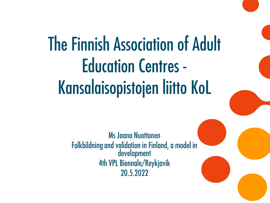# The Finnish Association of Adult **Education Centres -**Kansalaisopistojen liitto KoL

**Ms Jaana Nuottanen** Folkbildning and validation in Finland, a model in<br>development 4th VPL Biennale/Reykjavik 20.5.2022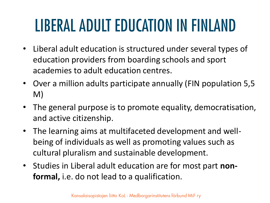# LIBERAL ADULT EDUCATION IN FINLAND

- Liberal adult education is structured under several types of education providers from boarding schools and sport academies to adult education centres.
- Over a million adults participate annually (FIN population 5,5 M)
- The general purpose is to promote equality, democratisation, and active citizenship.
- The learning aims at multifaceted development and wellbeing of individuals as well as promoting values such as cultural pluralism and sustainable development.
- Studies in Liberal adult education are for most part **nonformal,** i.e. do not lead to a qualification.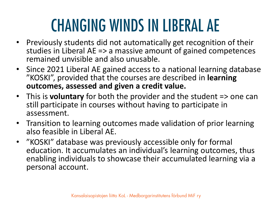# **CHANGING WINDS IN LIBERAL AE**

- Previously students did not automatically get recognition of their studies in Liberal AE => a massive amount of gained competences remained unvisible and also unusable.
- Since 2021 Liberal AE gained access to a national learning database "KOSKI", provided that the courses are described in **learning outcomes, assessed and given a credit value.**
- This is **voluntary** for both the provider and the student => one can still participate in courses without having to participate in assessment.
- Transition to learning outcomes made validation of prior learning also feasible in Liberal AE.
- "KOSKI" database was previously accessible only for formal education. It accumulates an individual's learning outcomes, thus enabling individuals to showcase their accumulated learning via a personal account.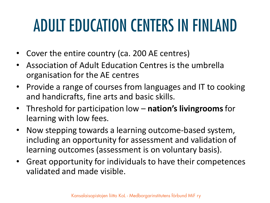# ADULT EDUCATION CENTERS IN FINLAND

- Cover the entire country (ca. 200 AE centres)
- Association of Adult Education Centres is the umbrella organisation for the AE centres
- Provide a range of courses from languages and IT to cooking and handicrafts, fine arts and basic skills.
- Threshold for participation low **nation's livingrooms**for learning with low fees.
- Now stepping towards a learning outcome-based system, including an opportunity for assessment and validation of learning outcomes (assessment is on voluntary basis).
- Great opportunity for individuals to have their competences validated and made visible.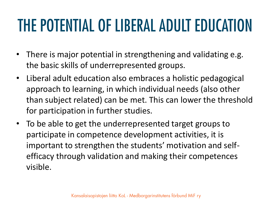# THE POTENTIAL OF LIBERAL ADULT EDUCATION

- There is major potential in strengthening and validating e.g. the basic skills of underrepresented groups.
- Liberal adult education also embraces a holistic pedagogical approach to learning, in which individual needs (also other than subject related) can be met. This can lower the threshold for participation in further studies.
- To be able to get the underrepresented target groups to participate in competence development activities, it is important to strengthen the students' motivation and selfefficacy through validation and making their competences visible.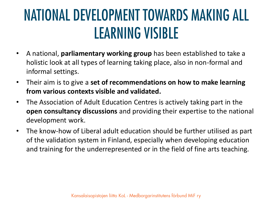#### NATIONAL DEVELOPMENT TOWARDS MAKING ALL **LEARNING VISIBLE**

- A national, **parliamentary working group** has been established to take a holistic look at all types of learning taking place, also in non-formal and informal settings.
- Their aim is to give a **set of recommendations on how to make learning from various contexts visible and validated.**
- The Association of Adult Education Centres is actively taking part in the **open consultancy discussions** and providing their expertise to the national development work.
- The know-how of Liberal adult education should be further utilised as part of the validation system in Finland, especially when developing education and training for the underrepresented or in the field of fine arts teaching.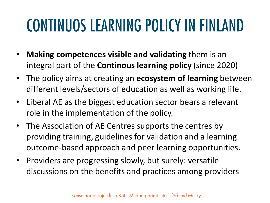### **CONTINUOS LEARNING POLICY IN FINLAND**

- **Making competences visible and validating** them is an integral part of the **Continous learning policy** (since 2020)
- The policy aims at creating an **ecosystem of learning** between different levels/sectors of education as well as working life.
- Liberal AE as the biggest education sector bears a relevant role in the implementation of the policy.
- The Association of AE Centres supports the centres by providing training, guidelines for validation and a learning outcome-based approach and peer learning opportunities.
- Providers are progressing slowly, but surely: versatile discussions on the benefits and practices among providers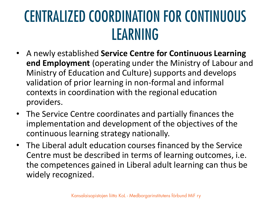#### **CENTRALIZED COORDINATION FOR CONTINUOUS** LEARNING

- A newly established **Service Centre for Continuous Learning end Employment** (operating under the Ministry of Labour and Ministry of Education and Culture) supports and develops validation of prior learning in non-formal and informal contexts in coordination with the regional education providers.
- The Service Centre coordinates and partially finances the implementation and development of the objectives of the continuous learning strategy nationally.
- The Liberal adult education courses financed by the Service Centre must be described in terms of learning outcomes, i.e. the competences gained in Liberal adult learning can thus be widely recognized.